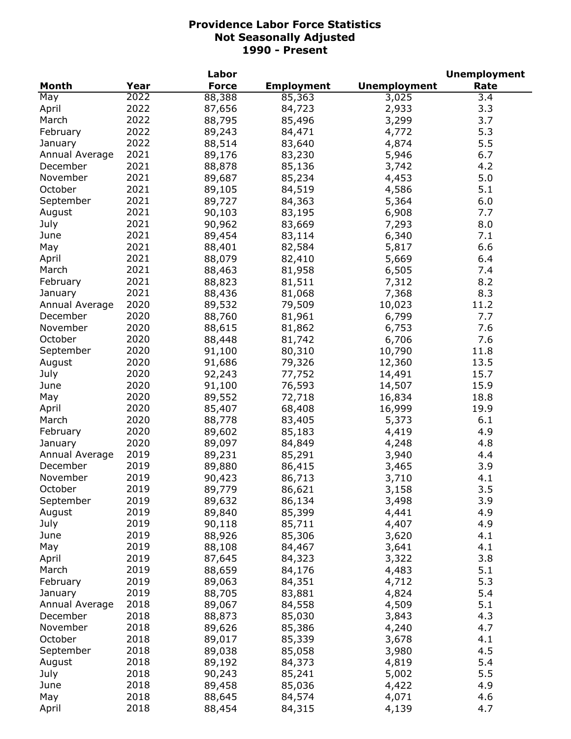| <b>Month</b><br>Year<br><b>Force</b><br><b>Unemployment</b><br>Rate<br><b>Employment</b><br>2022<br>88,388<br>May<br>85,363<br>3,025<br>3.4<br>2022<br>April<br>87,656<br>2,933<br>3.3<br>84,723<br>2022<br>March<br>3,299<br>3.7<br>88,795<br>85,496<br>2022<br>5.3<br>February<br>84,471<br>4,772<br>89,243<br>2022<br>5.5<br>88,514<br>83,640<br>4,874<br>January<br>2021<br>89,176<br>83,230<br>5,946<br>6.7<br>Annual Average<br>2021<br>December<br>88,878<br>85,136<br>3,742<br>4.2<br>2021<br>5.0<br>November<br>89,687<br>85,234<br>4,453<br>2021<br>October<br>4,586<br>5.1<br>89,105<br>84,519<br>2021<br>6.0<br>September<br>89,727<br>84,363<br>5,364<br>2021<br>90,103<br>6,908<br>August<br>83,195<br>7.7<br>2021<br>7,293<br>90,962<br>July<br>83,669<br>8.0<br>2021<br>89,454<br>83,114<br>6,340<br>7.1<br>June<br>2021<br>6.6<br>88,401<br>82,584<br>5,817<br>May<br>2021<br>88,079<br>5,669<br>April<br>82,410<br>6.4<br>2021<br>March<br>88,463<br>81,958<br>6,505<br>7.4<br>2021<br>8.2<br>February<br>88,823<br>81,511<br>7,312<br>2021<br>8.3<br>88,436<br>81,068<br>7,368<br>January<br>2020<br>Annual Average<br>89,532<br>79,509<br>10,023<br>11.2<br>2020<br>7.7<br>December<br>88,760<br>81,961<br>6,799<br>2020<br>November<br>88,615<br>81,862<br>6,753<br>7.6<br>2020<br>October<br>88,448<br>81,742<br>6,706<br>7.6<br>2020<br>September<br>91,100<br>80,310<br>10,790<br>11.8<br>2020<br>91,686<br>79,326<br>12,360<br>13.5<br>August<br>2020<br>14,491<br>15.7<br>July<br>92,243<br>77,752<br>2020<br>91,100<br>76,593<br>14,507<br>15.9<br>June<br>2020<br>89,552<br>May<br>72,718<br>16,834<br>18.8<br>2020<br>85,407<br>68,408<br>16,999<br>19.9<br>April<br>2020<br>5,373<br>March<br>88,778<br>83,405<br>6.1<br>2020<br>February<br>89,602<br>85,183<br>4,419<br>4.9<br>2020<br>4.8<br>89,097<br>84,849<br>4,248<br>January<br>2019<br>Annual Average<br>89,231<br>85,291<br>3,940<br>4.4<br>2019<br>December<br>89,880<br>3.9<br>86,415<br>3,465<br>November<br>2019<br>4.1<br>90,423<br>86,713<br>3,710<br>2019<br>October<br>3.5<br>89,779<br>86,621<br>3,158<br>2019<br>3.9<br>September<br>89,632<br>86,134<br>3,498<br>2019<br>4.9<br>August<br>89,840<br>85,399<br>4,441<br>2019<br>July<br>90,118<br>85,711<br>4,407<br>4.9<br>2019<br>88,926<br>85,306<br>3,620<br>4.1<br>June<br>2019<br>4.1<br>May<br>88,108<br>3,641<br>84,467<br>2019<br>3.8<br>April<br>87,645<br>3,322<br>84,323<br>2019<br>5.1<br>March<br>88,659<br>84,176<br>4,483<br>2019<br>89,063<br>5.3<br>February<br>84,351<br>4,712<br>2019<br>88,705<br>5.4<br>83,881<br>4,824<br>January<br>2018<br>4,509<br>5.1<br>89,067<br>84,558<br>Annual Average<br>2018<br>4.3<br>December<br>88,873<br>85,030<br>3,843<br>2018<br>4.7<br>November<br>89,626<br>85,386<br>4,240<br>October<br>2018<br>89,017<br>4.1<br>85,339<br>3,678<br>2018<br>4.5<br>September<br>89,038<br>85,058<br>3,980<br>2018<br>5.4<br>August<br>89,192<br>4,819<br>84,373<br>2018<br>5.5<br>July<br>90,243<br>5,002<br>85,241<br>2018<br>4.9<br>4,422<br>June<br>89,458<br>85,036<br>2018<br>May<br>88,645<br>4,071<br>4.6<br>84,574 |       |      | Labor  |        |       | <b>Unemployment</b> |
|---------------------------------------------------------------------------------------------------------------------------------------------------------------------------------------------------------------------------------------------------------------------------------------------------------------------------------------------------------------------------------------------------------------------------------------------------------------------------------------------------------------------------------------------------------------------------------------------------------------------------------------------------------------------------------------------------------------------------------------------------------------------------------------------------------------------------------------------------------------------------------------------------------------------------------------------------------------------------------------------------------------------------------------------------------------------------------------------------------------------------------------------------------------------------------------------------------------------------------------------------------------------------------------------------------------------------------------------------------------------------------------------------------------------------------------------------------------------------------------------------------------------------------------------------------------------------------------------------------------------------------------------------------------------------------------------------------------------------------------------------------------------------------------------------------------------------------------------------------------------------------------------------------------------------------------------------------------------------------------------------------------------------------------------------------------------------------------------------------------------------------------------------------------------------------------------------------------------------------------------------------------------------------------------------------------------------------------------------------------------------------------------------------------------------------------------------------------------------------------------------------------------------------------------------------------------------------------------------------------------------------------------------------------------------------------------------------------------------------------------------------------------------------------------------------------------------------------------------------------------------------------------------------------------------------------------------------------------------------------------------------------------------------------------------------------------------------------------------------------------------|-------|------|--------|--------|-------|---------------------|
|                                                                                                                                                                                                                                                                                                                                                                                                                                                                                                                                                                                                                                                                                                                                                                                                                                                                                                                                                                                                                                                                                                                                                                                                                                                                                                                                                                                                                                                                                                                                                                                                                                                                                                                                                                                                                                                                                                                                                                                                                                                                                                                                                                                                                                                                                                                                                                                                                                                                                                                                                                                                                                                                                                                                                                                                                                                                                                                                                                                                                                                                                                                           |       |      |        |        |       |                     |
|                                                                                                                                                                                                                                                                                                                                                                                                                                                                                                                                                                                                                                                                                                                                                                                                                                                                                                                                                                                                                                                                                                                                                                                                                                                                                                                                                                                                                                                                                                                                                                                                                                                                                                                                                                                                                                                                                                                                                                                                                                                                                                                                                                                                                                                                                                                                                                                                                                                                                                                                                                                                                                                                                                                                                                                                                                                                                                                                                                                                                                                                                                                           |       |      |        |        |       |                     |
|                                                                                                                                                                                                                                                                                                                                                                                                                                                                                                                                                                                                                                                                                                                                                                                                                                                                                                                                                                                                                                                                                                                                                                                                                                                                                                                                                                                                                                                                                                                                                                                                                                                                                                                                                                                                                                                                                                                                                                                                                                                                                                                                                                                                                                                                                                                                                                                                                                                                                                                                                                                                                                                                                                                                                                                                                                                                                                                                                                                                                                                                                                                           |       |      |        |        |       |                     |
|                                                                                                                                                                                                                                                                                                                                                                                                                                                                                                                                                                                                                                                                                                                                                                                                                                                                                                                                                                                                                                                                                                                                                                                                                                                                                                                                                                                                                                                                                                                                                                                                                                                                                                                                                                                                                                                                                                                                                                                                                                                                                                                                                                                                                                                                                                                                                                                                                                                                                                                                                                                                                                                                                                                                                                                                                                                                                                                                                                                                                                                                                                                           |       |      |        |        |       |                     |
|                                                                                                                                                                                                                                                                                                                                                                                                                                                                                                                                                                                                                                                                                                                                                                                                                                                                                                                                                                                                                                                                                                                                                                                                                                                                                                                                                                                                                                                                                                                                                                                                                                                                                                                                                                                                                                                                                                                                                                                                                                                                                                                                                                                                                                                                                                                                                                                                                                                                                                                                                                                                                                                                                                                                                                                                                                                                                                                                                                                                                                                                                                                           |       |      |        |        |       |                     |
|                                                                                                                                                                                                                                                                                                                                                                                                                                                                                                                                                                                                                                                                                                                                                                                                                                                                                                                                                                                                                                                                                                                                                                                                                                                                                                                                                                                                                                                                                                                                                                                                                                                                                                                                                                                                                                                                                                                                                                                                                                                                                                                                                                                                                                                                                                                                                                                                                                                                                                                                                                                                                                                                                                                                                                                                                                                                                                                                                                                                                                                                                                                           |       |      |        |        |       |                     |
|                                                                                                                                                                                                                                                                                                                                                                                                                                                                                                                                                                                                                                                                                                                                                                                                                                                                                                                                                                                                                                                                                                                                                                                                                                                                                                                                                                                                                                                                                                                                                                                                                                                                                                                                                                                                                                                                                                                                                                                                                                                                                                                                                                                                                                                                                                                                                                                                                                                                                                                                                                                                                                                                                                                                                                                                                                                                                                                                                                                                                                                                                                                           |       |      |        |        |       |                     |
|                                                                                                                                                                                                                                                                                                                                                                                                                                                                                                                                                                                                                                                                                                                                                                                                                                                                                                                                                                                                                                                                                                                                                                                                                                                                                                                                                                                                                                                                                                                                                                                                                                                                                                                                                                                                                                                                                                                                                                                                                                                                                                                                                                                                                                                                                                                                                                                                                                                                                                                                                                                                                                                                                                                                                                                                                                                                                                                                                                                                                                                                                                                           |       |      |        |        |       |                     |
|                                                                                                                                                                                                                                                                                                                                                                                                                                                                                                                                                                                                                                                                                                                                                                                                                                                                                                                                                                                                                                                                                                                                                                                                                                                                                                                                                                                                                                                                                                                                                                                                                                                                                                                                                                                                                                                                                                                                                                                                                                                                                                                                                                                                                                                                                                                                                                                                                                                                                                                                                                                                                                                                                                                                                                                                                                                                                                                                                                                                                                                                                                                           |       |      |        |        |       |                     |
|                                                                                                                                                                                                                                                                                                                                                                                                                                                                                                                                                                                                                                                                                                                                                                                                                                                                                                                                                                                                                                                                                                                                                                                                                                                                                                                                                                                                                                                                                                                                                                                                                                                                                                                                                                                                                                                                                                                                                                                                                                                                                                                                                                                                                                                                                                                                                                                                                                                                                                                                                                                                                                                                                                                                                                                                                                                                                                                                                                                                                                                                                                                           |       |      |        |        |       |                     |
|                                                                                                                                                                                                                                                                                                                                                                                                                                                                                                                                                                                                                                                                                                                                                                                                                                                                                                                                                                                                                                                                                                                                                                                                                                                                                                                                                                                                                                                                                                                                                                                                                                                                                                                                                                                                                                                                                                                                                                                                                                                                                                                                                                                                                                                                                                                                                                                                                                                                                                                                                                                                                                                                                                                                                                                                                                                                                                                                                                                                                                                                                                                           |       |      |        |        |       |                     |
|                                                                                                                                                                                                                                                                                                                                                                                                                                                                                                                                                                                                                                                                                                                                                                                                                                                                                                                                                                                                                                                                                                                                                                                                                                                                                                                                                                                                                                                                                                                                                                                                                                                                                                                                                                                                                                                                                                                                                                                                                                                                                                                                                                                                                                                                                                                                                                                                                                                                                                                                                                                                                                                                                                                                                                                                                                                                                                                                                                                                                                                                                                                           |       |      |        |        |       |                     |
|                                                                                                                                                                                                                                                                                                                                                                                                                                                                                                                                                                                                                                                                                                                                                                                                                                                                                                                                                                                                                                                                                                                                                                                                                                                                                                                                                                                                                                                                                                                                                                                                                                                                                                                                                                                                                                                                                                                                                                                                                                                                                                                                                                                                                                                                                                                                                                                                                                                                                                                                                                                                                                                                                                                                                                                                                                                                                                                                                                                                                                                                                                                           |       |      |        |        |       |                     |
|                                                                                                                                                                                                                                                                                                                                                                                                                                                                                                                                                                                                                                                                                                                                                                                                                                                                                                                                                                                                                                                                                                                                                                                                                                                                                                                                                                                                                                                                                                                                                                                                                                                                                                                                                                                                                                                                                                                                                                                                                                                                                                                                                                                                                                                                                                                                                                                                                                                                                                                                                                                                                                                                                                                                                                                                                                                                                                                                                                                                                                                                                                                           |       |      |        |        |       |                     |
|                                                                                                                                                                                                                                                                                                                                                                                                                                                                                                                                                                                                                                                                                                                                                                                                                                                                                                                                                                                                                                                                                                                                                                                                                                                                                                                                                                                                                                                                                                                                                                                                                                                                                                                                                                                                                                                                                                                                                                                                                                                                                                                                                                                                                                                                                                                                                                                                                                                                                                                                                                                                                                                                                                                                                                                                                                                                                                                                                                                                                                                                                                                           |       |      |        |        |       |                     |
|                                                                                                                                                                                                                                                                                                                                                                                                                                                                                                                                                                                                                                                                                                                                                                                                                                                                                                                                                                                                                                                                                                                                                                                                                                                                                                                                                                                                                                                                                                                                                                                                                                                                                                                                                                                                                                                                                                                                                                                                                                                                                                                                                                                                                                                                                                                                                                                                                                                                                                                                                                                                                                                                                                                                                                                                                                                                                                                                                                                                                                                                                                                           |       |      |        |        |       |                     |
|                                                                                                                                                                                                                                                                                                                                                                                                                                                                                                                                                                                                                                                                                                                                                                                                                                                                                                                                                                                                                                                                                                                                                                                                                                                                                                                                                                                                                                                                                                                                                                                                                                                                                                                                                                                                                                                                                                                                                                                                                                                                                                                                                                                                                                                                                                                                                                                                                                                                                                                                                                                                                                                                                                                                                                                                                                                                                                                                                                                                                                                                                                                           |       |      |        |        |       |                     |
|                                                                                                                                                                                                                                                                                                                                                                                                                                                                                                                                                                                                                                                                                                                                                                                                                                                                                                                                                                                                                                                                                                                                                                                                                                                                                                                                                                                                                                                                                                                                                                                                                                                                                                                                                                                                                                                                                                                                                                                                                                                                                                                                                                                                                                                                                                                                                                                                                                                                                                                                                                                                                                                                                                                                                                                                                                                                                                                                                                                                                                                                                                                           |       |      |        |        |       |                     |
|                                                                                                                                                                                                                                                                                                                                                                                                                                                                                                                                                                                                                                                                                                                                                                                                                                                                                                                                                                                                                                                                                                                                                                                                                                                                                                                                                                                                                                                                                                                                                                                                                                                                                                                                                                                                                                                                                                                                                                                                                                                                                                                                                                                                                                                                                                                                                                                                                                                                                                                                                                                                                                                                                                                                                                                                                                                                                                                                                                                                                                                                                                                           |       |      |        |        |       |                     |
|                                                                                                                                                                                                                                                                                                                                                                                                                                                                                                                                                                                                                                                                                                                                                                                                                                                                                                                                                                                                                                                                                                                                                                                                                                                                                                                                                                                                                                                                                                                                                                                                                                                                                                                                                                                                                                                                                                                                                                                                                                                                                                                                                                                                                                                                                                                                                                                                                                                                                                                                                                                                                                                                                                                                                                                                                                                                                                                                                                                                                                                                                                                           |       |      |        |        |       |                     |
|                                                                                                                                                                                                                                                                                                                                                                                                                                                                                                                                                                                                                                                                                                                                                                                                                                                                                                                                                                                                                                                                                                                                                                                                                                                                                                                                                                                                                                                                                                                                                                                                                                                                                                                                                                                                                                                                                                                                                                                                                                                                                                                                                                                                                                                                                                                                                                                                                                                                                                                                                                                                                                                                                                                                                                                                                                                                                                                                                                                                                                                                                                                           |       |      |        |        |       |                     |
|                                                                                                                                                                                                                                                                                                                                                                                                                                                                                                                                                                                                                                                                                                                                                                                                                                                                                                                                                                                                                                                                                                                                                                                                                                                                                                                                                                                                                                                                                                                                                                                                                                                                                                                                                                                                                                                                                                                                                                                                                                                                                                                                                                                                                                                                                                                                                                                                                                                                                                                                                                                                                                                                                                                                                                                                                                                                                                                                                                                                                                                                                                                           |       |      |        |        |       |                     |
|                                                                                                                                                                                                                                                                                                                                                                                                                                                                                                                                                                                                                                                                                                                                                                                                                                                                                                                                                                                                                                                                                                                                                                                                                                                                                                                                                                                                                                                                                                                                                                                                                                                                                                                                                                                                                                                                                                                                                                                                                                                                                                                                                                                                                                                                                                                                                                                                                                                                                                                                                                                                                                                                                                                                                                                                                                                                                                                                                                                                                                                                                                                           |       |      |        |        |       |                     |
|                                                                                                                                                                                                                                                                                                                                                                                                                                                                                                                                                                                                                                                                                                                                                                                                                                                                                                                                                                                                                                                                                                                                                                                                                                                                                                                                                                                                                                                                                                                                                                                                                                                                                                                                                                                                                                                                                                                                                                                                                                                                                                                                                                                                                                                                                                                                                                                                                                                                                                                                                                                                                                                                                                                                                                                                                                                                                                                                                                                                                                                                                                                           |       |      |        |        |       |                     |
|                                                                                                                                                                                                                                                                                                                                                                                                                                                                                                                                                                                                                                                                                                                                                                                                                                                                                                                                                                                                                                                                                                                                                                                                                                                                                                                                                                                                                                                                                                                                                                                                                                                                                                                                                                                                                                                                                                                                                                                                                                                                                                                                                                                                                                                                                                                                                                                                                                                                                                                                                                                                                                                                                                                                                                                                                                                                                                                                                                                                                                                                                                                           |       |      |        |        |       |                     |
|                                                                                                                                                                                                                                                                                                                                                                                                                                                                                                                                                                                                                                                                                                                                                                                                                                                                                                                                                                                                                                                                                                                                                                                                                                                                                                                                                                                                                                                                                                                                                                                                                                                                                                                                                                                                                                                                                                                                                                                                                                                                                                                                                                                                                                                                                                                                                                                                                                                                                                                                                                                                                                                                                                                                                                                                                                                                                                                                                                                                                                                                                                                           |       |      |        |        |       |                     |
|                                                                                                                                                                                                                                                                                                                                                                                                                                                                                                                                                                                                                                                                                                                                                                                                                                                                                                                                                                                                                                                                                                                                                                                                                                                                                                                                                                                                                                                                                                                                                                                                                                                                                                                                                                                                                                                                                                                                                                                                                                                                                                                                                                                                                                                                                                                                                                                                                                                                                                                                                                                                                                                                                                                                                                                                                                                                                                                                                                                                                                                                                                                           |       |      |        |        |       |                     |
|                                                                                                                                                                                                                                                                                                                                                                                                                                                                                                                                                                                                                                                                                                                                                                                                                                                                                                                                                                                                                                                                                                                                                                                                                                                                                                                                                                                                                                                                                                                                                                                                                                                                                                                                                                                                                                                                                                                                                                                                                                                                                                                                                                                                                                                                                                                                                                                                                                                                                                                                                                                                                                                                                                                                                                                                                                                                                                                                                                                                                                                                                                                           |       |      |        |        |       |                     |
|                                                                                                                                                                                                                                                                                                                                                                                                                                                                                                                                                                                                                                                                                                                                                                                                                                                                                                                                                                                                                                                                                                                                                                                                                                                                                                                                                                                                                                                                                                                                                                                                                                                                                                                                                                                                                                                                                                                                                                                                                                                                                                                                                                                                                                                                                                                                                                                                                                                                                                                                                                                                                                                                                                                                                                                                                                                                                                                                                                                                                                                                                                                           |       |      |        |        |       |                     |
|                                                                                                                                                                                                                                                                                                                                                                                                                                                                                                                                                                                                                                                                                                                                                                                                                                                                                                                                                                                                                                                                                                                                                                                                                                                                                                                                                                                                                                                                                                                                                                                                                                                                                                                                                                                                                                                                                                                                                                                                                                                                                                                                                                                                                                                                                                                                                                                                                                                                                                                                                                                                                                                                                                                                                                                                                                                                                                                                                                                                                                                                                                                           |       |      |        |        |       |                     |
|                                                                                                                                                                                                                                                                                                                                                                                                                                                                                                                                                                                                                                                                                                                                                                                                                                                                                                                                                                                                                                                                                                                                                                                                                                                                                                                                                                                                                                                                                                                                                                                                                                                                                                                                                                                                                                                                                                                                                                                                                                                                                                                                                                                                                                                                                                                                                                                                                                                                                                                                                                                                                                                                                                                                                                                                                                                                                                                                                                                                                                                                                                                           |       |      |        |        |       |                     |
|                                                                                                                                                                                                                                                                                                                                                                                                                                                                                                                                                                                                                                                                                                                                                                                                                                                                                                                                                                                                                                                                                                                                                                                                                                                                                                                                                                                                                                                                                                                                                                                                                                                                                                                                                                                                                                                                                                                                                                                                                                                                                                                                                                                                                                                                                                                                                                                                                                                                                                                                                                                                                                                                                                                                                                                                                                                                                                                                                                                                                                                                                                                           |       |      |        |        |       |                     |
|                                                                                                                                                                                                                                                                                                                                                                                                                                                                                                                                                                                                                                                                                                                                                                                                                                                                                                                                                                                                                                                                                                                                                                                                                                                                                                                                                                                                                                                                                                                                                                                                                                                                                                                                                                                                                                                                                                                                                                                                                                                                                                                                                                                                                                                                                                                                                                                                                                                                                                                                                                                                                                                                                                                                                                                                                                                                                                                                                                                                                                                                                                                           |       |      |        |        |       |                     |
|                                                                                                                                                                                                                                                                                                                                                                                                                                                                                                                                                                                                                                                                                                                                                                                                                                                                                                                                                                                                                                                                                                                                                                                                                                                                                                                                                                                                                                                                                                                                                                                                                                                                                                                                                                                                                                                                                                                                                                                                                                                                                                                                                                                                                                                                                                                                                                                                                                                                                                                                                                                                                                                                                                                                                                                                                                                                                                                                                                                                                                                                                                                           |       |      |        |        |       |                     |
|                                                                                                                                                                                                                                                                                                                                                                                                                                                                                                                                                                                                                                                                                                                                                                                                                                                                                                                                                                                                                                                                                                                                                                                                                                                                                                                                                                                                                                                                                                                                                                                                                                                                                                                                                                                                                                                                                                                                                                                                                                                                                                                                                                                                                                                                                                                                                                                                                                                                                                                                                                                                                                                                                                                                                                                                                                                                                                                                                                                                                                                                                                                           |       |      |        |        |       |                     |
|                                                                                                                                                                                                                                                                                                                                                                                                                                                                                                                                                                                                                                                                                                                                                                                                                                                                                                                                                                                                                                                                                                                                                                                                                                                                                                                                                                                                                                                                                                                                                                                                                                                                                                                                                                                                                                                                                                                                                                                                                                                                                                                                                                                                                                                                                                                                                                                                                                                                                                                                                                                                                                                                                                                                                                                                                                                                                                                                                                                                                                                                                                                           |       |      |        |        |       |                     |
|                                                                                                                                                                                                                                                                                                                                                                                                                                                                                                                                                                                                                                                                                                                                                                                                                                                                                                                                                                                                                                                                                                                                                                                                                                                                                                                                                                                                                                                                                                                                                                                                                                                                                                                                                                                                                                                                                                                                                                                                                                                                                                                                                                                                                                                                                                                                                                                                                                                                                                                                                                                                                                                                                                                                                                                                                                                                                                                                                                                                                                                                                                                           |       |      |        |        |       |                     |
|                                                                                                                                                                                                                                                                                                                                                                                                                                                                                                                                                                                                                                                                                                                                                                                                                                                                                                                                                                                                                                                                                                                                                                                                                                                                                                                                                                                                                                                                                                                                                                                                                                                                                                                                                                                                                                                                                                                                                                                                                                                                                                                                                                                                                                                                                                                                                                                                                                                                                                                                                                                                                                                                                                                                                                                                                                                                                                                                                                                                                                                                                                                           |       |      |        |        |       |                     |
|                                                                                                                                                                                                                                                                                                                                                                                                                                                                                                                                                                                                                                                                                                                                                                                                                                                                                                                                                                                                                                                                                                                                                                                                                                                                                                                                                                                                                                                                                                                                                                                                                                                                                                                                                                                                                                                                                                                                                                                                                                                                                                                                                                                                                                                                                                                                                                                                                                                                                                                                                                                                                                                                                                                                                                                                                                                                                                                                                                                                                                                                                                                           |       |      |        |        |       |                     |
|                                                                                                                                                                                                                                                                                                                                                                                                                                                                                                                                                                                                                                                                                                                                                                                                                                                                                                                                                                                                                                                                                                                                                                                                                                                                                                                                                                                                                                                                                                                                                                                                                                                                                                                                                                                                                                                                                                                                                                                                                                                                                                                                                                                                                                                                                                                                                                                                                                                                                                                                                                                                                                                                                                                                                                                                                                                                                                                                                                                                                                                                                                                           |       |      |        |        |       |                     |
|                                                                                                                                                                                                                                                                                                                                                                                                                                                                                                                                                                                                                                                                                                                                                                                                                                                                                                                                                                                                                                                                                                                                                                                                                                                                                                                                                                                                                                                                                                                                                                                                                                                                                                                                                                                                                                                                                                                                                                                                                                                                                                                                                                                                                                                                                                                                                                                                                                                                                                                                                                                                                                                                                                                                                                                                                                                                                                                                                                                                                                                                                                                           |       |      |        |        |       |                     |
|                                                                                                                                                                                                                                                                                                                                                                                                                                                                                                                                                                                                                                                                                                                                                                                                                                                                                                                                                                                                                                                                                                                                                                                                                                                                                                                                                                                                                                                                                                                                                                                                                                                                                                                                                                                                                                                                                                                                                                                                                                                                                                                                                                                                                                                                                                                                                                                                                                                                                                                                                                                                                                                                                                                                                                                                                                                                                                                                                                                                                                                                                                                           |       |      |        |        |       |                     |
|                                                                                                                                                                                                                                                                                                                                                                                                                                                                                                                                                                                                                                                                                                                                                                                                                                                                                                                                                                                                                                                                                                                                                                                                                                                                                                                                                                                                                                                                                                                                                                                                                                                                                                                                                                                                                                                                                                                                                                                                                                                                                                                                                                                                                                                                                                                                                                                                                                                                                                                                                                                                                                                                                                                                                                                                                                                                                                                                                                                                                                                                                                                           |       |      |        |        |       |                     |
|                                                                                                                                                                                                                                                                                                                                                                                                                                                                                                                                                                                                                                                                                                                                                                                                                                                                                                                                                                                                                                                                                                                                                                                                                                                                                                                                                                                                                                                                                                                                                                                                                                                                                                                                                                                                                                                                                                                                                                                                                                                                                                                                                                                                                                                                                                                                                                                                                                                                                                                                                                                                                                                                                                                                                                                                                                                                                                                                                                                                                                                                                                                           |       |      |        |        |       |                     |
|                                                                                                                                                                                                                                                                                                                                                                                                                                                                                                                                                                                                                                                                                                                                                                                                                                                                                                                                                                                                                                                                                                                                                                                                                                                                                                                                                                                                                                                                                                                                                                                                                                                                                                                                                                                                                                                                                                                                                                                                                                                                                                                                                                                                                                                                                                                                                                                                                                                                                                                                                                                                                                                                                                                                                                                                                                                                                                                                                                                                                                                                                                                           |       |      |        |        |       |                     |
|                                                                                                                                                                                                                                                                                                                                                                                                                                                                                                                                                                                                                                                                                                                                                                                                                                                                                                                                                                                                                                                                                                                                                                                                                                                                                                                                                                                                                                                                                                                                                                                                                                                                                                                                                                                                                                                                                                                                                                                                                                                                                                                                                                                                                                                                                                                                                                                                                                                                                                                                                                                                                                                                                                                                                                                                                                                                                                                                                                                                                                                                                                                           |       |      |        |        |       |                     |
|                                                                                                                                                                                                                                                                                                                                                                                                                                                                                                                                                                                                                                                                                                                                                                                                                                                                                                                                                                                                                                                                                                                                                                                                                                                                                                                                                                                                                                                                                                                                                                                                                                                                                                                                                                                                                                                                                                                                                                                                                                                                                                                                                                                                                                                                                                                                                                                                                                                                                                                                                                                                                                                                                                                                                                                                                                                                                                                                                                                                                                                                                                                           |       |      |        |        |       |                     |
|                                                                                                                                                                                                                                                                                                                                                                                                                                                                                                                                                                                                                                                                                                                                                                                                                                                                                                                                                                                                                                                                                                                                                                                                                                                                                                                                                                                                                                                                                                                                                                                                                                                                                                                                                                                                                                                                                                                                                                                                                                                                                                                                                                                                                                                                                                                                                                                                                                                                                                                                                                                                                                                                                                                                                                                                                                                                                                                                                                                                                                                                                                                           |       |      |        |        |       |                     |
|                                                                                                                                                                                                                                                                                                                                                                                                                                                                                                                                                                                                                                                                                                                                                                                                                                                                                                                                                                                                                                                                                                                                                                                                                                                                                                                                                                                                                                                                                                                                                                                                                                                                                                                                                                                                                                                                                                                                                                                                                                                                                                                                                                                                                                                                                                                                                                                                                                                                                                                                                                                                                                                                                                                                                                                                                                                                                                                                                                                                                                                                                                                           |       |      |        |        |       |                     |
|                                                                                                                                                                                                                                                                                                                                                                                                                                                                                                                                                                                                                                                                                                                                                                                                                                                                                                                                                                                                                                                                                                                                                                                                                                                                                                                                                                                                                                                                                                                                                                                                                                                                                                                                                                                                                                                                                                                                                                                                                                                                                                                                                                                                                                                                                                                                                                                                                                                                                                                                                                                                                                                                                                                                                                                                                                                                                                                                                                                                                                                                                                                           |       |      |        |        |       |                     |
|                                                                                                                                                                                                                                                                                                                                                                                                                                                                                                                                                                                                                                                                                                                                                                                                                                                                                                                                                                                                                                                                                                                                                                                                                                                                                                                                                                                                                                                                                                                                                                                                                                                                                                                                                                                                                                                                                                                                                                                                                                                                                                                                                                                                                                                                                                                                                                                                                                                                                                                                                                                                                                                                                                                                                                                                                                                                                                                                                                                                                                                                                                                           |       |      |        |        |       |                     |
|                                                                                                                                                                                                                                                                                                                                                                                                                                                                                                                                                                                                                                                                                                                                                                                                                                                                                                                                                                                                                                                                                                                                                                                                                                                                                                                                                                                                                                                                                                                                                                                                                                                                                                                                                                                                                                                                                                                                                                                                                                                                                                                                                                                                                                                                                                                                                                                                                                                                                                                                                                                                                                                                                                                                                                                                                                                                                                                                                                                                                                                                                                                           |       |      |        |        |       |                     |
|                                                                                                                                                                                                                                                                                                                                                                                                                                                                                                                                                                                                                                                                                                                                                                                                                                                                                                                                                                                                                                                                                                                                                                                                                                                                                                                                                                                                                                                                                                                                                                                                                                                                                                                                                                                                                                                                                                                                                                                                                                                                                                                                                                                                                                                                                                                                                                                                                                                                                                                                                                                                                                                                                                                                                                                                                                                                                                                                                                                                                                                                                                                           |       |      |        |        |       |                     |
|                                                                                                                                                                                                                                                                                                                                                                                                                                                                                                                                                                                                                                                                                                                                                                                                                                                                                                                                                                                                                                                                                                                                                                                                                                                                                                                                                                                                                                                                                                                                                                                                                                                                                                                                                                                                                                                                                                                                                                                                                                                                                                                                                                                                                                                                                                                                                                                                                                                                                                                                                                                                                                                                                                                                                                                                                                                                                                                                                                                                                                                                                                                           |       |      |        |        |       |                     |
|                                                                                                                                                                                                                                                                                                                                                                                                                                                                                                                                                                                                                                                                                                                                                                                                                                                                                                                                                                                                                                                                                                                                                                                                                                                                                                                                                                                                                                                                                                                                                                                                                                                                                                                                                                                                                                                                                                                                                                                                                                                                                                                                                                                                                                                                                                                                                                                                                                                                                                                                                                                                                                                                                                                                                                                                                                                                                                                                                                                                                                                                                                                           |       |      |        |        |       |                     |
|                                                                                                                                                                                                                                                                                                                                                                                                                                                                                                                                                                                                                                                                                                                                                                                                                                                                                                                                                                                                                                                                                                                                                                                                                                                                                                                                                                                                                                                                                                                                                                                                                                                                                                                                                                                                                                                                                                                                                                                                                                                                                                                                                                                                                                                                                                                                                                                                                                                                                                                                                                                                                                                                                                                                                                                                                                                                                                                                                                                                                                                                                                                           | April | 2018 | 88,454 | 84,315 | 4,139 | 4.7                 |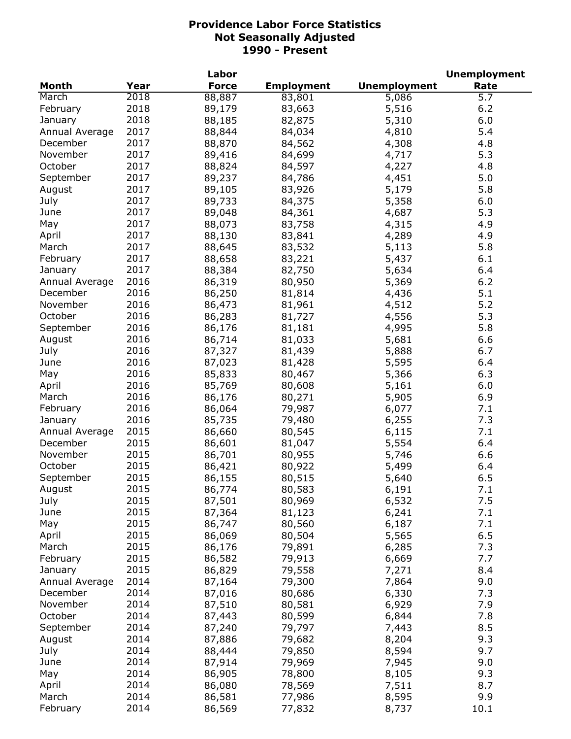|                |      | Labor        |                   |                     | <b>Unemployment</b> |
|----------------|------|--------------|-------------------|---------------------|---------------------|
| <b>Month</b>   | Year | <b>Force</b> | <b>Employment</b> | <b>Unemployment</b> | Rate                |
| March          | 2018 | 88,887       | 83,801            | 5,086               | 5.7                 |
| February       | 2018 | 89,179       | 83,663            | 5,516               | 6.2                 |
| January        | 2018 | 88,185       | 82,875            | 5,310               | 6.0                 |
| Annual Average | 2017 | 88,844       | 84,034            | 4,810               | 5.4                 |
| December       | 2017 | 88,870       | 84,562            | 4,308               | 4.8                 |
| November       | 2017 | 89,416       | 84,699            | 4,717               | 5.3                 |
| October        | 2017 | 88,824       | 84,597            | 4,227               | 4.8                 |
| September      | 2017 | 89,237       | 84,786            | 4,451               | 5.0                 |
| August         | 2017 | 89,105       | 83,926            | 5,179               | 5.8                 |
| July           | 2017 | 89,733       | 84,375            | 5,358               | 6.0                 |
| June           | 2017 | 89,048       | 84,361            | 4,687               | 5.3                 |
| May            | 2017 | 88,073       | 83,758            | 4,315               | 4.9                 |
|                | 2017 | 88,130       | 83,841            | 4,289               | 4.9                 |
| April          | 2017 |              |                   |                     | 5.8                 |
| March          |      | 88,645       | 83,532            | 5,113               |                     |
| February       | 2017 | 88,658       | 83,221            | 5,437               | 6.1                 |
| January        | 2017 | 88,384       | 82,750            | 5,634               | 6.4                 |
| Annual Average | 2016 | 86,319       | 80,950            | 5,369               | 6.2                 |
| December       | 2016 | 86,250       | 81,814            | 4,436               | 5.1                 |
| November       | 2016 | 86,473       | 81,961            | 4,512               | 5.2                 |
| October        | 2016 | 86,283       | 81,727            | 4,556               | 5.3                 |
| September      | 2016 | 86,176       | 81,181            | 4,995               | 5.8                 |
| August         | 2016 | 86,714       | 81,033            | 5,681               | 6.6                 |
| July           | 2016 | 87,327       | 81,439            | 5,888               | 6.7                 |
| June           | 2016 | 87,023       | 81,428            | 5,595               | 6.4                 |
| May            | 2016 | 85,833       | 80,467            | 5,366               | 6.3                 |
| April          | 2016 | 85,769       | 80,608            | 5,161               | 6.0                 |
| March          | 2016 | 86,176       | 80,271            | 5,905               | 6.9                 |
| February       | 2016 | 86,064       | 79,987            | 6,077               | 7.1                 |
| January        | 2016 | 85,735       | 79,480            | 6,255               | 7.3                 |
| Annual Average | 2015 | 86,660       | 80,545            | 6,115               | 7.1                 |
| December       | 2015 | 86,601       | 81,047            | 5,554               | 6.4                 |
| November       | 2015 | 86,701       | 80,955            | 5,746               | 6.6                 |
| October        | 2015 | 86,421       | 80,922            | 5,499               | 6.4                 |
| September      | 2015 | 86,155       | 80,515            | 5,640               | 6.5                 |
| August         | 2015 | 86,774       | 80,583            | 6,191               | 7.1                 |
| July           | 2015 | 87,501       | 80,969            | 6,532               | 7.5                 |
| June           | 2015 | 87,364       | 81,123            | 6,241               | 7.1                 |
| May            | 2015 | 86,747       | 80,560            | 6,187               | 7.1                 |
| April          | 2015 | 86,069       | 80,504            | 5,565               | 6.5                 |
| March          | 2015 | 86,176       | 79,891            | 6,285               | 7.3                 |
| February       | 2015 | 86,582       | 79,913            | 6,669               | 7.7                 |
| January        | 2015 | 86,829       | 79,558            | 7,271               | 8.4                 |
| Annual Average | 2014 | 87,164       | 79,300            | 7,864               | 9.0                 |
| December       | 2014 | 87,016       | 80,686            | 6,330               | 7.3                 |
| November       | 2014 | 87,510       | 80,581            | 6,929               | 7.9                 |
| October        | 2014 | 87,443       | 80,599            | 6,844               | 7.8                 |
| September      | 2014 | 87,240       | 79,797            | 7,443               | 8.5                 |
|                |      |              |                   |                     |                     |
| August         | 2014 | 87,886       | 79,682            | 8,204               | 9.3                 |
| July           | 2014 | 88,444       | 79,850            | 8,594               | 9.7                 |
| June           | 2014 | 87,914       | 79,969            | 7,945               | 9.0                 |
| May            | 2014 | 86,905       | 78,800            | 8,105               | 9.3                 |
| April          | 2014 | 86,080       | 78,569            | 7,511               | 8.7                 |
| March          | 2014 | 86,581       | 77,986            | 8,595               | 9.9                 |
| February       | 2014 | 86,569       | 77,832            | 8,737               | 10.1                |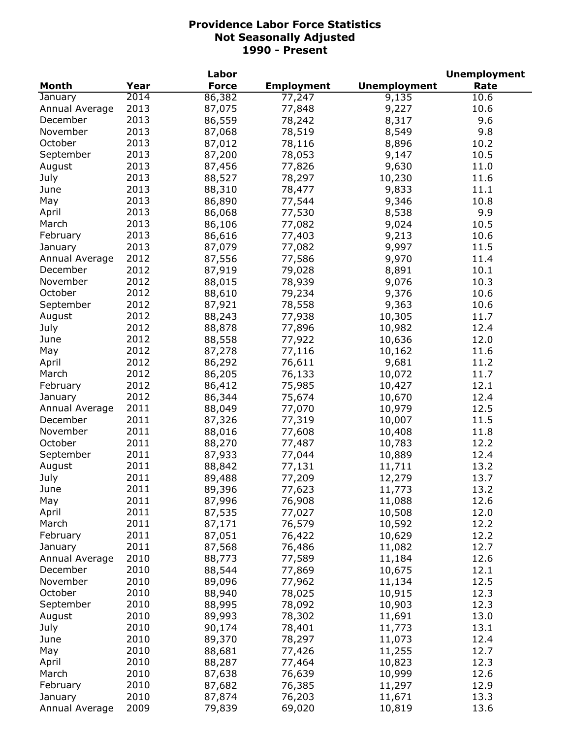|                |      | Labor            |                   |                     | <b>Unemployment</b> |
|----------------|------|------------------|-------------------|---------------------|---------------------|
| <b>Month</b>   | Year | <b>Force</b>     | <b>Employment</b> | <b>Unemployment</b> | Rate                |
| January        | 2014 | 86,382           | 77,247            | 9,135               | 10.6                |
| Annual Average | 2013 | 87,075           | 77,848            | 9,227               | 10.6                |
| December       | 2013 | 86,559           | 78,242            | 8,317               | 9.6                 |
| November       | 2013 | 87,068           | 78,519            | 8,549               | 9.8                 |
| October        | 2013 | 87,012           | 78,116            | 8,896               | 10.2                |
| September      | 2013 | 87,200           | 78,053            | 9,147               | 10.5                |
| August         | 2013 | 87,456           | 77,826            | 9,630               | 11.0                |
| July           | 2013 | 88,527           | 78,297            | 10,230              | 11.6                |
| June           | 2013 | 88,310           | 78,477            | 9,833               | 11.1                |
| May            | 2013 | 86,890           | 77,544            | 9,346               | 10.8                |
| April          | 2013 | 86,068           | 77,530            | 8,538               | 9.9                 |
| March          | 2013 | 86,106           | 77,082            | 9,024               | 10.5                |
| February       | 2013 | 86,616           | 77,403            | 9,213               | 10.6                |
| January        | 2013 | 87,079           | 77,082            | 9,997               | 11.5                |
| Annual Average | 2012 |                  |                   | 9,970               | 11.4                |
| December       | 2012 | 87,556<br>87,919 | 77,586            | 8,891               | 10.1                |
| November       | 2012 |                  | 79,028            |                     | 10.3                |
|                |      | 88,015           | 78,939            | 9,076               |                     |
| October        | 2012 | 88,610           | 79,234            | 9,376               | 10.6                |
| September      | 2012 | 87,921           | 78,558            | 9,363               | 10.6                |
| August         | 2012 | 88,243           | 77,938            | 10,305              | 11.7                |
| July           | 2012 | 88,878           | 77,896            | 10,982              | 12.4                |
| June           | 2012 | 88,558           | 77,922            | 10,636              | 12.0                |
| May            | 2012 | 87,278           | 77,116            | 10,162              | 11.6                |
| April          | 2012 | 86,292           | 76,611            | 9,681               | 11.2                |
| March          | 2012 | 86,205           | 76,133            | 10,072              | 11.7                |
| February       | 2012 | 86,412           | 75,985            | 10,427              | 12.1                |
| January        | 2012 | 86,344           | 75,674            | 10,670              | 12.4                |
| Annual Average | 2011 | 88,049           | 77,070            | 10,979              | 12.5                |
| December       | 2011 | 87,326           | 77,319            | 10,007              | 11.5                |
| November       | 2011 | 88,016           | 77,608            | 10,408              | 11.8                |
| October        | 2011 | 88,270           | 77,487            | 10,783              | 12.2                |
| September      | 2011 | 87,933           | 77,044            | 10,889              | 12.4                |
| August         | 2011 | 88,842           | 77,131            | 11,711              | 13.2                |
| July           | 2011 | 89,488           | 77,209            | 12,279              | 13.7                |
| June           | 2011 | 89,396           | 77,623            | 11,773              | 13.2                |
| May            | 2011 | 87,996           | 76,908            | 11,088              | 12.6                |
| April          | 2011 | 87,535           | 77,027            | 10,508              | 12.0                |
| March          | 2011 | 87,171           | 76,579            | 10,592              | 12.2                |
| February       | 2011 | 87,051           | 76,422            | 10,629              | 12.2                |
| January        | 2011 | 87,568           | 76,486            | 11,082              | 12.7                |
| Annual Average | 2010 | 88,773           | 77,589            | 11,184              | 12.6                |
| December       | 2010 | 88,544           | 77,869            | 10,675              | 12.1                |
| November       | 2010 | 89,096           | 77,962            | 11,134              | 12.5                |
| October        | 2010 | 88,940           | 78,025            | 10,915              | 12.3                |
| September      | 2010 | 88,995           | 78,092            | 10,903              | 12.3                |
| August         | 2010 | 89,993           | 78,302            | 11,691              | 13.0                |
| July           | 2010 | 90,174           | 78,401            | 11,773              | 13.1                |
| June           | 2010 | 89,370           | 78,297            | 11,073              | 12.4                |
| May            | 2010 | 88,681           | 77,426            | 11,255              | 12.7                |
| April          | 2010 | 88,287           | 77,464            | 10,823              | 12.3                |
| March          | 2010 | 87,638           | 76,639            | 10,999              | 12.6                |
| February       | 2010 | 87,682           | 76,385            | 11,297              | 12.9                |
| January        | 2010 | 87,874           | 76,203            | 11,671              | 13.3                |
| Annual Average | 2009 | 79,839           | 69,020            | 10,819              | 13.6                |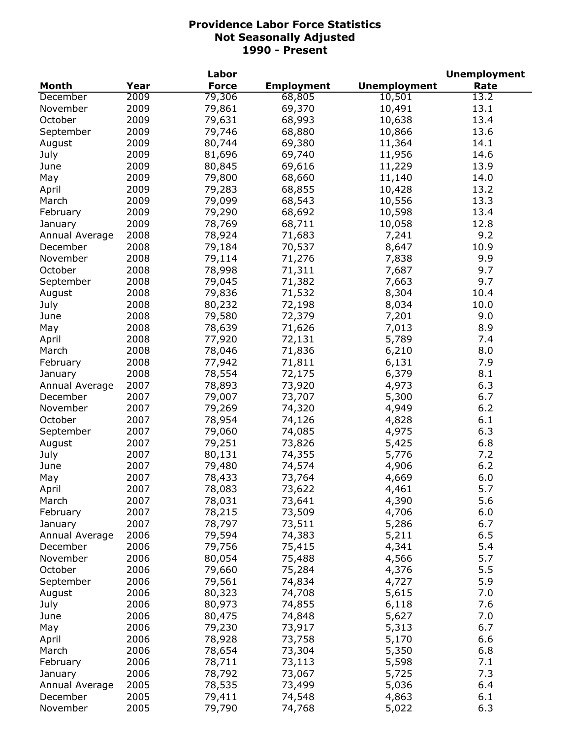|                |      | Labor        |                   |                     | <b>Unemployment</b> |
|----------------|------|--------------|-------------------|---------------------|---------------------|
| Month          | Year | <b>Force</b> | <b>Employment</b> | <b>Unemployment</b> | Rate                |
| December       | 2009 | 79,306       | 68,805            | 10,501              | 13.2                |
| November       | 2009 | 79,861       | 69,370            | 10,491              | 13.1                |
| October        | 2009 | 79,631       | 68,993            | 10,638              | 13.4                |
| September      | 2009 | 79,746       | 68,880            | 10,866              | 13.6                |
| August         | 2009 | 80,744       | 69,380            | 11,364              | 14.1                |
| July           | 2009 | 81,696       | 69,740            | 11,956              | 14.6                |
| June           | 2009 | 80,845       | 69,616            | 11,229              | 13.9                |
| May            | 2009 | 79,800       | 68,660            | 11,140              | 14.0                |
| April          | 2009 | 79,283       | 68,855            | 10,428              | 13.2                |
| March          | 2009 | 79,099       | 68,543            | 10,556              | 13.3                |
| February       | 2009 | 79,290       | 68,692            | 10,598              | 13.4                |
| January        | 2009 | 78,769       | 68,711            | 10,058              | 12.8                |
| Annual Average | 2008 | 78,924       | 71,683            | 7,241               | 9.2                 |
| December       | 2008 | 79,184       | 70,537            | 8,647               | 10.9                |
| November       | 2008 | 79,114       | 71,276            | 7,838               | 9.9                 |
| October        | 2008 | 78,998       | 71,311            | 7,687               | 9.7                 |
| September      | 2008 | 79,045       | 71,382            | 7,663               | 9.7                 |
| August         | 2008 | 79,836       | 71,532            | 8,304               | 10.4                |
|                | 2008 |              |                   |                     | 10.0                |
| July           |      | 80,232       | 72,198            | 8,034               |                     |
| June           | 2008 | 79,580       | 72,379            | 7,201               | 9.0                 |
| May            | 2008 | 78,639       | 71,626            | 7,013               | 8.9                 |
| April          | 2008 | 77,920       | 72,131            | 5,789               | 7.4                 |
| March          | 2008 | 78,046       | 71,836            | 6,210               | 8.0                 |
| February       | 2008 | 77,942       | 71,811            | 6,131               | 7.9                 |
| January        | 2008 | 78,554       | 72,175            | 6,379               | 8.1                 |
| Annual Average | 2007 | 78,893       | 73,920            | 4,973               | 6.3                 |
| December       | 2007 | 79,007       | 73,707            | 5,300               | 6.7                 |
| November       | 2007 | 79,269       | 74,320            | 4,949               | $6.2$               |
| October        | 2007 | 78,954       | 74,126            | 4,828               | 6.1                 |
| September      | 2007 | 79,060       | 74,085            | 4,975               | 6.3                 |
| August         | 2007 | 79,251       | 73,826            | 5,425               | 6.8                 |
| July           | 2007 | 80,131       | 74,355            | 5,776               | 7.2                 |
| June           | 2007 | 79,480       | 74,574            | 4,906               | 6.2                 |
| May            | 2007 | 78,433       | 73,764            | 4,669               | 6.0                 |
| April          | 2007 | 78,083       | 73,622            | 4,461               | 5.7                 |
| March          | 2007 | 78,031       | 73,641            | 4,390               | 5.6                 |
| February       | 2007 | 78,215       | 73,509            | 4,706               | 6.0                 |
| January        | 2007 | 78,797       | 73,511            | 5,286               | 6.7                 |
| Annual Average | 2006 | 79,594       | 74,383            | 5,211               | 6.5                 |
| December       | 2006 | 79,756       | 75,415            | 4,341               | 5.4                 |
| November       | 2006 | 80,054       | 75,488            | 4,566               | 5.7                 |
| October        | 2006 | 79,660       | 75,284            | 4,376               | 5.5                 |
| September      | 2006 | 79,561       | 74,834            | 4,727               | 5.9                 |
| August         | 2006 | 80,323       | 74,708            | 5,615               | 7.0                 |
| July           | 2006 | 80,973       | 74,855            | 6,118               | 7.6                 |
| June           | 2006 | 80,475       | 74,848            | 5,627               | 7.0                 |
| May            | 2006 | 79,230       | 73,917            | 5,313               | 6.7                 |
| April          | 2006 | 78,928       | 73,758            | 5,170               | 6.6                 |
| March          | 2006 | 78,654       | 73,304            | 5,350               | 6.8                 |
| February       | 2006 | 78,711       | 73,113            | 5,598               | 7.1                 |
| January        | 2006 | 78,792       | 73,067            | 5,725               | 7.3                 |
| Annual Average | 2005 | 78,535       | 73,499            | 5,036               | 6.4                 |
| December       | 2005 | 79,411       | 74,548            | 4,863               | 6.1                 |
| November       | 2005 | 79,790       | 74,768            | 5,022               | 6.3                 |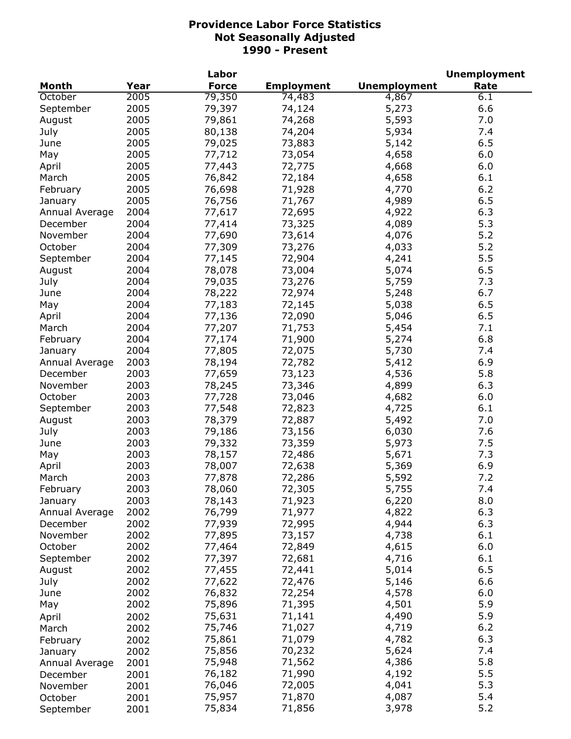|                |      | Labor        |                   |                     | <b>Unemployment</b> |
|----------------|------|--------------|-------------------|---------------------|---------------------|
| <b>Month</b>   | Year | <b>Force</b> | <b>Employment</b> | <b>Unemployment</b> | Rate                |
| October        | 2005 | 79,350       | 74,483            | 4,867               | 6.1                 |
| September      | 2005 | 79,397       | 74,124            | 5,273               | 6.6                 |
| August         | 2005 | 79,861       | 74,268            | 5,593               | 7.0                 |
| July           | 2005 | 80,138       | 74,204            | 5,934               | 7.4                 |
| June           | 2005 | 79,025       | 73,883            | 5,142               | 6.5                 |
| May            | 2005 | 77,712       | 73,054            | 4,658               | 6.0                 |
| April          | 2005 | 77,443       | 72,775            | 4,668               | 6.0                 |
| March          | 2005 | 76,842       | 72,184            | 4,658               | 6.1                 |
| February       | 2005 | 76,698       | 71,928            | 4,770               | 6.2                 |
| January        | 2005 | 76,756       | 71,767            | 4,989               | 6.5                 |
| Annual Average | 2004 | 77,617       | 72,695            | 4,922               | 6.3                 |
| December       | 2004 | 77,414       | 73,325            | 4,089               | 5.3                 |
| November       | 2004 | 77,690       | 73,614            | 4,076               | 5.2                 |
| October        | 2004 | 77,309       | 73,276            | 4,033               | 5.2                 |
| September      | 2004 | 77,145       | 72,904            | 4,241               | 5.5                 |
| August         | 2004 | 78,078       | 73,004            | 5,074               | 6.5                 |
| July           | 2004 | 79,035       | 73,276            | 5,759               | 7.3                 |
| June           | 2004 | 78,222       | 72,974            | 5,248               | 6.7                 |
|                | 2004 |              |                   |                     | 6.5                 |
| May            |      | 77,183       | 72,145            | 5,038               |                     |
| April          | 2004 | 77,136       | 72,090            | 5,046               | 6.5                 |
| March          | 2004 | 77,207       | 71,753            | 5,454               | 7.1                 |
| February       | 2004 | 77,174       | 71,900            | 5,274               | 6.8                 |
| January        | 2004 | 77,805       | 72,075            | 5,730               | 7.4                 |
| Annual Average | 2003 | 78,194       | 72,782            | 5,412               | 6.9                 |
| December       | 2003 | 77,659       | 73,123            | 4,536               | 5.8                 |
| November       | 2003 | 78,245       | 73,346            | 4,899               | 6.3                 |
| October        | 2003 | 77,728       | 73,046            | 4,682               | 6.0                 |
| September      | 2003 | 77,548       | 72,823            | 4,725               | 6.1                 |
| August         | 2003 | 78,379       | 72,887            | 5,492               | 7.0                 |
| July           | 2003 | 79,186       | 73,156            | 6,030               | 7.6                 |
| June           | 2003 | 79,332       | 73,359            | 5,973               | 7.5                 |
| May            | 2003 | 78,157       | 72,486            | 5,671               | 7.3                 |
| April          | 2003 | 78,007       | 72,638            | 5,369               | 6.9                 |
| March          | 2003 | 77,878       | 72,286            | 5,592               | 7.2                 |
| February       | 2003 | 78,060       | 72,305            | 5,755               | 7.4                 |
| January        | 2003 | 78,143       | 71,923            | 6,220               | 8.0                 |
| Annual Average | 2002 | 76,799       | 71,977            | 4,822               | 6.3                 |
| December       | 2002 | 77,939       | 72,995            | 4,944               | 6.3                 |
| November       | 2002 | 77,895       | 73,157            | 4,738               | 6.1                 |
| October        | 2002 | 77,464       | 72,849            | 4,615               | 6.0                 |
| September      | 2002 | 77,397       | 72,681            | 4,716               | 6.1                 |
| August         | 2002 | 77,455       | 72,441            | 5,014               | 6.5                 |
| July           | 2002 | 77,622       | 72,476            | 5,146               | 6.6                 |
| June           | 2002 | 76,832       | 72,254            | 4,578               | 6.0                 |
| May            | 2002 | 75,896       | 71,395            | 4,501               | 5.9                 |
| April          | 2002 | 75,631       | 71,141            | 4,490               | 5.9                 |
| March          | 2002 | 75,746       | 71,027            | 4,719               | 6.2                 |
| February       | 2002 | 75,861       | 71,079            | 4,782               | 6.3                 |
| January        | 2002 | 75,856       | 70,232            | 5,624               | 7.4                 |
| Annual Average | 2001 | 75,948       | 71,562            | 4,386               | 5.8                 |
| December       | 2001 | 76,182       | 71,990            | 4,192               | 5.5                 |
| November       | 2001 | 76,046       | 72,005            | 4,041               | 5.3                 |
| October        | 2001 | 75,957       | 71,870            | 4,087               | 5.4                 |
| September      | 2001 | 75,834       | 71,856            | 3,978               | 5.2                 |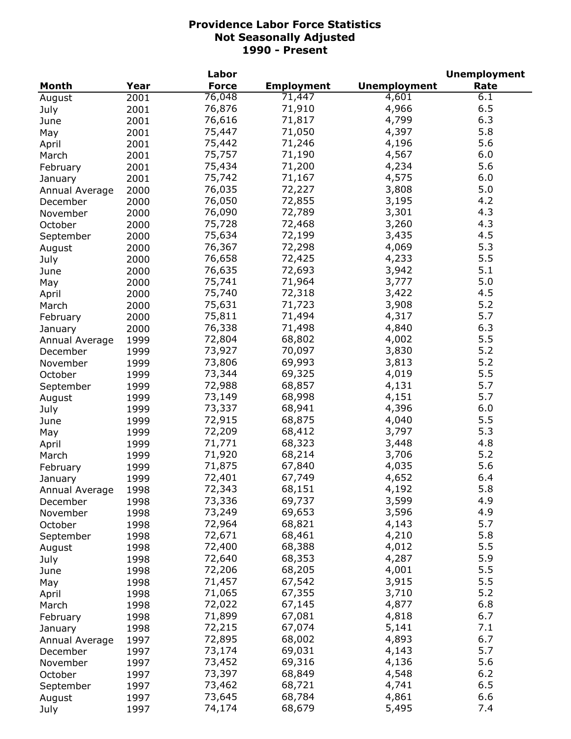|                |      | Labor        |                   |                     | <b>Unemployment</b> |
|----------------|------|--------------|-------------------|---------------------|---------------------|
| <b>Month</b>   | Year | <b>Force</b> | <b>Employment</b> | <b>Unemployment</b> | Rate                |
| August         | 2001 | 76,048       | 71,447            | 4,601               | 6.1                 |
| July           | 2001 | 76,876       | 71,910            | 4,966               | 6.5                 |
| June           | 2001 | 76,616       | 71,817            | 4,799               | 6.3                 |
| May            | 2001 | 75,447       | 71,050            | 4,397               | 5.8                 |
| April          | 2001 | 75,442       | 71,246            | 4,196               | 5.6                 |
| March          | 2001 | 75,757       | 71,190            | 4,567               | 6.0                 |
| February       | 2001 | 75,434       | 71,200            | 4,234               | 5.6                 |
| January        | 2001 | 75,742       | 71,167            | 4,575               | 6.0                 |
| Annual Average | 2000 | 76,035       | 72,227            | 3,808               | 5.0                 |
| December       | 2000 | 76,050       | 72,855            | 3,195               | 4.2                 |
|                | 2000 | 76,090       | 72,789            | 3,301               | 4.3                 |
| November       |      | 75,728       | 72,468            | 3,260               | 4.3                 |
| October        | 2000 |              | 72,199            | 3,435               | 4.5                 |
| September      | 2000 | 75,634       |                   |                     |                     |
| August         | 2000 | 76,367       | 72,298            | 4,069               | 5.3                 |
| July           | 2000 | 76,658       | 72,425            | 4,233               | 5.5                 |
| June           | 2000 | 76,635       | 72,693            | 3,942               | 5.1                 |
| May            | 2000 | 75,741       | 71,964            | 3,777               | 5.0                 |
| April          | 2000 | 75,740       | 72,318            | 3,422               | 4.5                 |
| March          | 2000 | 75,631       | 71,723            | 3,908               | 5.2                 |
| February       | 2000 | 75,811       | 71,494            | 4,317               | 5.7                 |
| January        | 2000 | 76,338       | 71,498            | 4,840               | 6.3                 |
| Annual Average | 1999 | 72,804       | 68,802            | 4,002               | 5.5                 |
| December       | 1999 | 73,927       | 70,097            | 3,830               | 5.2                 |
| November       | 1999 | 73,806       | 69,993            | 3,813               | 5.2                 |
| October        | 1999 | 73,344       | 69,325            | 4,019               | 5.5                 |
| September      | 1999 | 72,988       | 68,857            | 4,131               | 5.7                 |
| August         | 1999 | 73,149       | 68,998            | 4,151               | 5.7                 |
| July           | 1999 | 73,337       | 68,941            | 4,396               | 6.0                 |
| June           | 1999 | 72,915       | 68,875            | 4,040               | 5.5                 |
| May            | 1999 | 72,209       | 68,412            | 3,797               | 5.3                 |
| April          | 1999 | 71,771       | 68,323            | 3,448               | 4.8                 |
| March          | 1999 | 71,920       | 68,214            | 3,706               | 5.2                 |
| February       | 1999 | 71,875       | 67,840            | 4,035               | 5.6                 |
| January        | 1999 | 72,401       | 67,749            | 4,652               | 6.4                 |
| Annual Average | 1998 | 72,343       | 68,151            | 4,192               | 5.8                 |
| December       | 1998 | 73,336       | 69,737            | 3,599               | 4.9                 |
| November       | 1998 | 73,249       | 69,653            | 3,596               | 4.9                 |
| October        | 1998 | 72,964       | 68,821            | 4,143               | 5.7                 |
|                | 1998 | 72,671       | 68,461            | 4,210               | 5.8                 |
| September      | 1998 | 72,400       | 68,388            | 4,012               | 5.5                 |
| August         |      | 72,640       | 68,353            | 4,287               | 5.9                 |
| July           | 1998 |              |                   | 4,001               | 5.5                 |
| June           | 1998 | 72,206       | 68,205            |                     |                     |
| May            | 1998 | 71,457       | 67,542            | 3,915               | 5.5                 |
| April          | 1998 | 71,065       | 67,355            | 3,710               | 5.2                 |
| March          | 1998 | 72,022       | 67,145            | 4,877               | 6.8                 |
| February       | 1998 | 71,899       | 67,081            | 4,818               | 6.7                 |
| January        | 1998 | 72,215       | 67,074            | 5,141               | 7.1                 |
| Annual Average | 1997 | 72,895       | 68,002            | 4,893               | 6.7                 |
| December       | 1997 | 73,174       | 69,031            | 4,143               | 5.7                 |
| November       | 1997 | 73,452       | 69,316            | 4,136               | 5.6                 |
| October        | 1997 | 73,397       | 68,849            | 4,548               | $6.2$               |
| September      | 1997 | 73,462       | 68,721            | 4,741               | 6.5                 |
| August         | 1997 | 73,645       | 68,784            | 4,861               | 6.6                 |
| July           | 1997 | 74,174       | 68,679            | 5,495               | 7.4                 |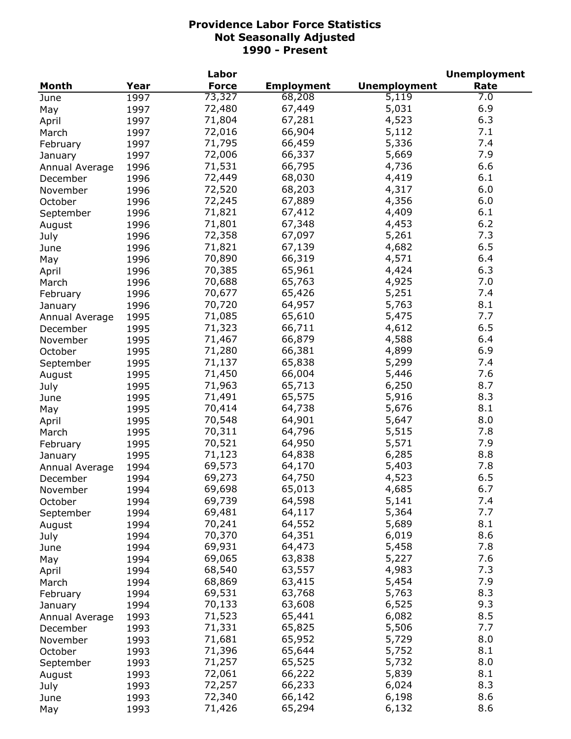|                |      | Labor        |                   |                     | <b>Unemployment</b> |
|----------------|------|--------------|-------------------|---------------------|---------------------|
| <b>Month</b>   | Year | <b>Force</b> | <b>Employment</b> | <b>Unemployment</b> | Rate                |
| June           | 1997 | 73,327       | 68,208            | 5,119               | 7.0                 |
| May            | 1997 | 72,480       | 67,449            | 5,031               | 6.9                 |
| April          | 1997 | 71,804       | 67,281            | 4,523               | 6.3                 |
| March          | 1997 | 72,016       | 66,904            | 5,112               | 7.1                 |
| February       | 1997 | 71,795       | 66,459            | 5,336               | 7.4                 |
| January        | 1997 | 72,006       | 66,337            | 5,669               | 7.9                 |
| Annual Average | 1996 | 71,531       | 66,795            | 4,736               | 6.6                 |
| December       | 1996 | 72,449       | 68,030            | 4,419               | 6.1                 |
| November       | 1996 | 72,520       | 68,203            | 4,317               | 6.0                 |
| October        | 1996 | 72,245       | 67,889            | 4,356               | 6.0                 |
|                | 1996 | 71,821       | 67,412            | 4,409               | 6.1                 |
| September      |      | 71,801       | 67,348            | 4,453               | 6.2                 |
| August         | 1996 |              |                   |                     | 7.3                 |
| July           | 1996 | 72,358       | 67,097            | 5,261               |                     |
| June           | 1996 | 71,821       | 67,139            | 4,682               | 6.5                 |
| May            | 1996 | 70,890       | 66,319            | 4,571               | 6.4                 |
| April          | 1996 | 70,385       | 65,961            | 4,424               | 6.3                 |
| March          | 1996 | 70,688       | 65,763            | 4,925               | 7.0                 |
| February       | 1996 | 70,677       | 65,426            | 5,251               | 7.4                 |
| January        | 1996 | 70,720       | 64,957            | 5,763               | 8.1                 |
| Annual Average | 1995 | 71,085       | 65,610            | 5,475               | 7.7                 |
| December       | 1995 | 71,323       | 66,711            | 4,612               | 6.5                 |
| November       | 1995 | 71,467       | 66,879            | 4,588               | 6.4                 |
| October        | 1995 | 71,280       | 66,381            | 4,899               | 6.9                 |
| September      | 1995 | 71,137       | 65,838            | 5,299               | 7.4                 |
| August         | 1995 | 71,450       | 66,004            | 5,446               | 7.6                 |
| July           | 1995 | 71,963       | 65,713            | 6,250               | 8.7                 |
| June           | 1995 | 71,491       | 65,575            | 5,916               | 8.3                 |
| May            | 1995 | 70,414       | 64,738            | 5,676               | 8.1                 |
| April          | 1995 | 70,548       | 64,901            | 5,647               | 8.0                 |
| March          | 1995 | 70,311       | 64,796            | 5,515               | 7.8                 |
| February       | 1995 | 70,521       | 64,950            | 5,571               | 7.9                 |
| January        | 1995 | 71,123       | 64,838            | 6,285               | 8.8                 |
| Annual Average | 1994 | 69,573       | 64,170            | 5,403               | 7.8                 |
| December       | 1994 | 69,273       | 64,750            | 4,523               | 6.5                 |
| November       | 1994 | 69,698       | 65,013            | 4,685               | 6.7                 |
| October        | 1994 | 69,739       | 64,598            | 5,141               | 7.4                 |
| September      | 1994 | 69,481       | 64,117            | 5,364               | 7.7                 |
| August         | 1994 | 70,241       | 64,552            | 5,689               | 8.1                 |
|                | 1994 | 70,370       | 64,351            | 6,019               | 8.6                 |
| July           | 1994 | 69,931       | 64,473            | 5,458               | 7.8                 |
| June           |      | 69,065       | 63,838            | 5,227               | 7.6                 |
| May            | 1994 |              |                   | 4,983               | 7.3                 |
| April          | 1994 | 68,540       | 63,557            |                     |                     |
| March          | 1994 | 68,869       | 63,415            | 5,454               | 7.9                 |
| February       | 1994 | 69,531       | 63,768            | 5,763               | 8.3                 |
| January        | 1994 | 70,133       | 63,608            | 6,525               | 9.3                 |
| Annual Average | 1993 | 71,523       | 65,441            | 6,082               | 8.5                 |
| December       | 1993 | 71,331       | 65,825            | 5,506               | 7.7                 |
| November       | 1993 | 71,681       | 65,952            | 5,729               | 8.0                 |
| October        | 1993 | 71,396       | 65,644            | 5,752               | 8.1                 |
| September      | 1993 | 71,257       | 65,525            | 5,732               | 8.0                 |
| August         | 1993 | 72,061       | 66,222            | 5,839               | 8.1                 |
| July           | 1993 | 72,257       | 66,233            | 6,024               | 8.3                 |
| June           | 1993 | 72,340       | 66,142            | 6,198               | 8.6                 |
| May            | 1993 | 71,426       | 65,294            | 6,132               | 8.6                 |